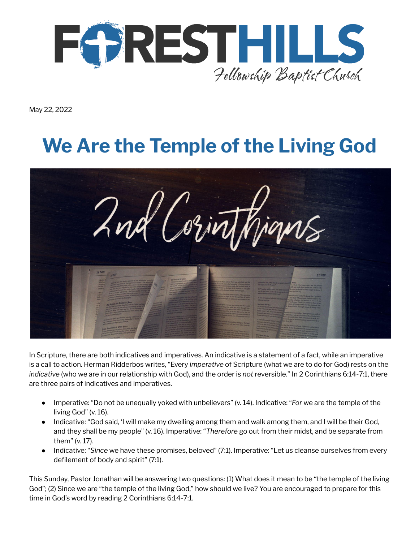

May 22, 2022

# **We Are the Temple of the Living God**



In Scripture, there are both indicatives and imperatives. An indicative is a statement of a fact, while an imperative is a call to action. Herman Ridderbos writes, "Every *imperative* of Scripture (what we are to do for God) rests on the *indicative* (who we are in our relationship with God), and the order is *not* reversible." In 2 Corinthians 6:14-7:1, there are three pairs of indicatives and imperatives.

- Imperative: "Do not be unequally yoked with unbelievers" (v. 14). Indicative: "*For* we are the temple of the living God" (v. 16).
- Indicative: "God said, 'I will make my dwelling among them and walk among them, and I will be their God, and they shall be my people" (v. 16). Imperative: "*Therefore* go out from their midst, and be separate from them" (v. 17).
- Indicative: "*Since* we have these promises, beloved" (7:1). Imperative: "Let us cleanse ourselves from every defilement of body and spirit" (7:1).

This Sunday, Pastor Jonathan will be answering two questions: (1) What does it mean to be "the temple of the living God"; (2) Since we are "the temple of the living God," how should we live? You are encouraged to prepare for this time in God's word by reading 2 Corinthians 6:14-7:1.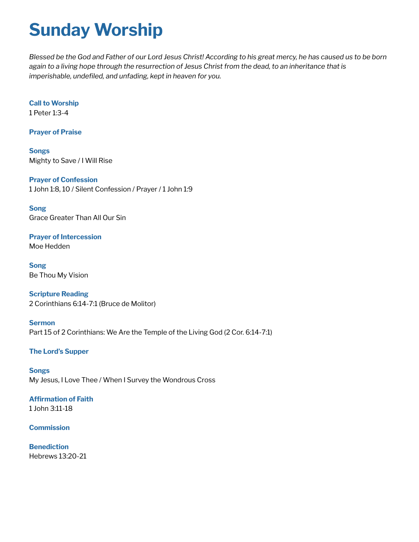### **Sunday Worship**

Blessed be the God and Father of our Lord Jesus Christ! According to his great mercy, he has caused us to be born again to a living hope through the resurrection of Jesus Christ from the dead, to an inheritance that is *imperishable, undefiled, and unfading, kept in heaven for you.*

**Call to Worship** 1 Peter 1:3-4

**Prayer of Praise**

**Songs** Mighty to Save / I Will Rise

**Prayer of Confession** 1 John 1:8, 10 / Silent Confession / Prayer / 1 John 1:9

**Song** Grace Greater Than All Our Sin

**Prayer of Intercession** Moe Hedden

**Song** Be Thou My Vision

**Scripture Reading** 2 Corinthians 6:14-7:1 (Bruce de Molitor)

**Sermon** Part 15 of 2 Corinthians: We Are the Temple of the Living God (2 Cor. 6:14-7:1)

#### **The Lord's Supper**

**Songs** My Jesus, I Love Thee / When I Survey the Wondrous Cross

#### **Affirmation of Faith** 1 John 3:11-18

#### **Commission**

**Benediction** Hebrews 13:20-21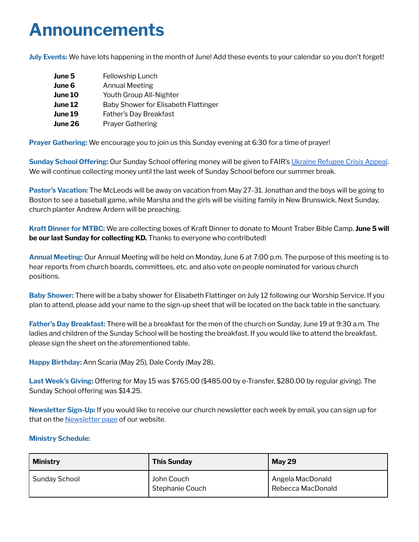### **Announcements**

**July Events:** We have lots happening in the month of June! Add these events to your calendar so you don't forget!

| June 5  | Fellowship Lunch                     |
|---------|--------------------------------------|
| June 6  | Annual Meeting                       |
| June 10 | Youth Group All-Nighter              |
| June 12 | Baby Shower for Elisabeth Flattinger |
| June 19 | Father's Day Breakfast               |
| June 26 | <b>Prayer Gathering</b>              |

**Prayer Gathering:** We encourage you to join us this Sunday evening at 6:30 for a time of prayer!

**Sunday School Offering:** Our Sunday School offering money will be given to FAIR's Ukraine [Refugee](https://www.fellowship.ca/qry/page.taf?id=39&_dsfd_uid1=818&_nc=f973f28cf0bf7480a428c6cd70effa51) Crisis Appeal. We will continue collecting money until the last week of Sunday School before our summer break.

**Pastor's Vacation:** The McLeods will be away on vacation from May 27-31. Jonathan and the boys will be going to Boston to see a baseball game, while Marsha and the girls will be visiting family in New Brunswick. Next Sunday, church planter Andrew Ardern will be preaching.

**Kraft Dinner for MTBC:** We are collecting boxes of Kraft Dinner to donate to Mount Traber Bible Camp. **June 5 will be our last Sunday for collecting KD.** Thanks to everyone who contributed!

**Annual Meeting:** Our Annual Meeting will be held on Monday, June 6 at 7:00 p.m. The purpose of this meeting is to hear reports from church boards, committees, etc. and also vote on people nominated for various church positions.

**Baby Shower:** There will be a baby shower for Elisabeth Flattinger on July 12 following our Worship Service. If you plan to attend, please add your name to the sign-up sheet that will be located on the back table in the sanctuary.

**Father's Day Breakfast:** There will be a breakfast for the men of the church on Sunday, June 19 at 9:30 a.m. The ladies and children of the Sunday School will be hosting the breakfast. If you would like to attend the breakfast, please sign the sheet on the aforementioned table.

**Happy Birthday:** Ann Scaria (May 25), Dale Cordy (May 28).

**Last Week's Giving:** Offering for May 15 was \$765.00 (\$485.00 by e-Transfer, \$280.00 by regular giving). The Sunday School offering was \$14.25.

**Newsletter Sign-Up:** If you would like to receive our church newsletter each week by email, you can sign up for that on the **[Newsletter](http://www.fhfbc.org/newsletter.cfm) page** of our website.

#### **Ministry Schedule:**

| <b>Ministry</b> | <b>This Sunday</b>            | <b>May 29</b>                         |
|-----------------|-------------------------------|---------------------------------------|
| Sunday School   | John Couch<br>Stephanie Couch | Angela MacDonald<br>Rebecca MacDonald |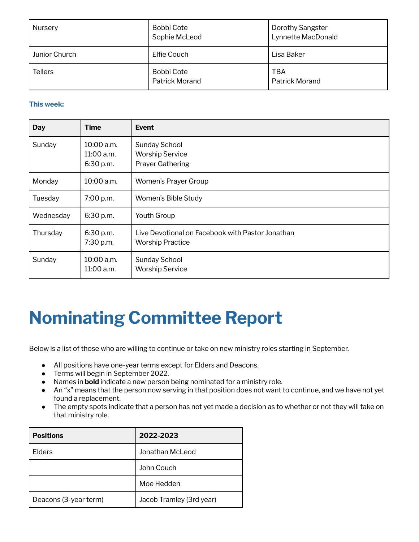| Nursery        | <b>Bobbi Cote</b><br>Sophie McLeod  | <b>Dorothy Sangster</b><br>Lynnette MacDonald |
|----------------|-------------------------------------|-----------------------------------------------|
| Junior Church  | Elfie Couch                         | Lisa Baker                                    |
| <b>Tellers</b> | Bobbi Cote<br><b>Patrick Morand</b> | TBA<br><b>Patrick Morand</b>                  |

#### **This week:**

| <b>Day</b> | <b>Time</b>                           | <b>Event</b>                                                                |
|------------|---------------------------------------|-----------------------------------------------------------------------------|
| Sunday     | 10:00 a.m.<br>11:00 a.m.<br>6:30 p.m. | Sunday School<br><b>Worship Service</b><br><b>Prayer Gathering</b>          |
| Monday     | 10:00 a.m.                            | Women's Prayer Group                                                        |
| Tuesday    | 7:00 p.m.                             | Women's Bible Study                                                         |
| Wednesday  | 6:30 p.m.                             | Youth Group                                                                 |
| Thursday   | 6:30 p.m.<br>7:30 p.m.                | Live Devotional on Facebook with Pastor Jonathan<br><b>Worship Practice</b> |
| Sunday     | 10:00 a.m.<br>11:00 a.m.              | Sunday School<br><b>Worship Service</b>                                     |

### **Nominating Committee Report**

Below is a list of those who are willing to continue or take on new ministry roles starting in September.

- All positions have one-year terms except for Elders and Deacons.
- Terms will begin in September 2022.
- Names in **bold** indicate a new person being nominated for a ministry role.
- An "x" means that the person now serving in that position does not want to continue, and we have not yet found a replacement.
- The empty spots indicate that a person has not yet made a decision as to whether or not they will take on that ministry role.

| <b>Positions</b>      | 2022-2023                |
|-----------------------|--------------------------|
| Elders                | Jonathan McLeod          |
|                       | John Couch               |
|                       | Moe Hedden               |
| Deacons (3-year term) | Jacob Tramley (3rd year) |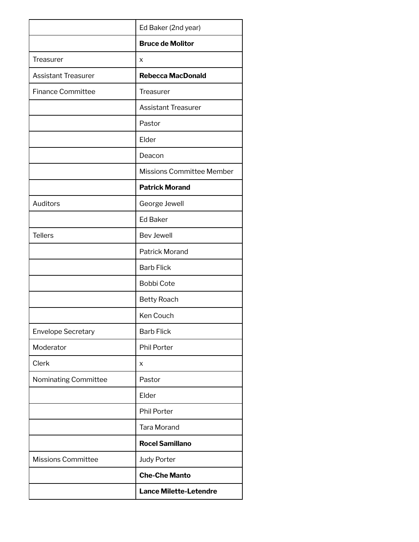|                            | Ed Baker (2nd year)              |
|----------------------------|----------------------------------|
|                            | <b>Bruce de Molitor</b>          |
| <b>Treasurer</b>           | X                                |
| <b>Assistant Treasurer</b> | <b>Rebecca MacDonald</b>         |
| <b>Finance Committee</b>   | <b>Treasurer</b>                 |
|                            | <b>Assistant Treasurer</b>       |
|                            | Pastor                           |
|                            | Elder                            |
|                            | Deacon                           |
|                            | <b>Missions Committee Member</b> |
|                            | <b>Patrick Morand</b>            |
| Auditors                   | George Jewell                    |
|                            | <b>Ed Baker</b>                  |
| <b>Tellers</b>             | <b>Bev Jewell</b>                |
|                            | <b>Patrick Morand</b>            |
|                            | <b>Barb Flick</b>                |
|                            | <b>Bobbi Cote</b>                |
|                            | <b>Betty Roach</b>               |
|                            | Ken Couch                        |
| <b>Envelope Secretary</b>  | <b>Barb Flick</b>                |
| Moderator                  | <b>Phil Porter</b>               |
| Clerk                      | x                                |
| Nominating Committee       | Pastor                           |
|                            | Elder                            |
|                            | <b>Phil Porter</b>               |
|                            | <b>Tara Morand</b>               |
|                            | <b>Rocel Samillano</b>           |
| <b>Missions Committee</b>  | <b>Judy Porter</b>               |
|                            | <b>Che-Che Manto</b>             |
|                            | <b>Lance Milette-Letendre</b>    |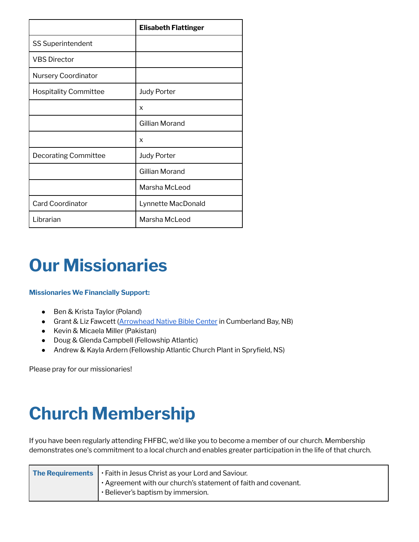|                              | <b>Elisabeth Flattinger</b> |
|------------------------------|-----------------------------|
| <b>SS Superintendent</b>     |                             |
| <b>VBS Director</b>          |                             |
| <b>Nursery Coordinator</b>   |                             |
| <b>Hospitality Committee</b> | <b>Judy Porter</b>          |
|                              | X                           |
|                              | Gillian Morand              |
|                              | X                           |
| <b>Decorating Committee</b>  | <b>Judy Porter</b>          |
|                              | Gillian Morand              |
|                              | Marsha McLeod               |
| <b>Card Coordinator</b>      | Lynnette MacDonald          |
| Librarian                    | Marsha McLeod               |

### **Our Missionaries**

#### **Missionaries We Financially Support:**

- Ben & Krista Taylor (Poland)
- Grant & Liz Fawcett [\(Arrowhead](https://arrowheadnbc.com/) Native Bible Center in Cumberland Bay, NB)
- Kevin & Micaela Miller (Pakistan)
- Doug & Glenda Campbell (Fellowship Atlantic)
- Andrew & Kayla Ardern (Fellowship Atlantic Church Plant in Spryfield, NS)

Please pray for our missionaries!

### **Church Membership**

If you have been regularly attending FHFBC, we'd like you to become a member of our church. Membership demonstrates one's commitment to a local church and enables greater participation in the life of that church.

| <b>The Requirements</b> $\cdot$ Faith in Jesus Christ as your Lord and Saviour.<br>' · Agreement with our church's statement of faith and covenant. |                                    |
|-----------------------------------------------------------------------------------------------------------------------------------------------------|------------------------------------|
|                                                                                                                                                     | • Believer's baptism by immersion. |